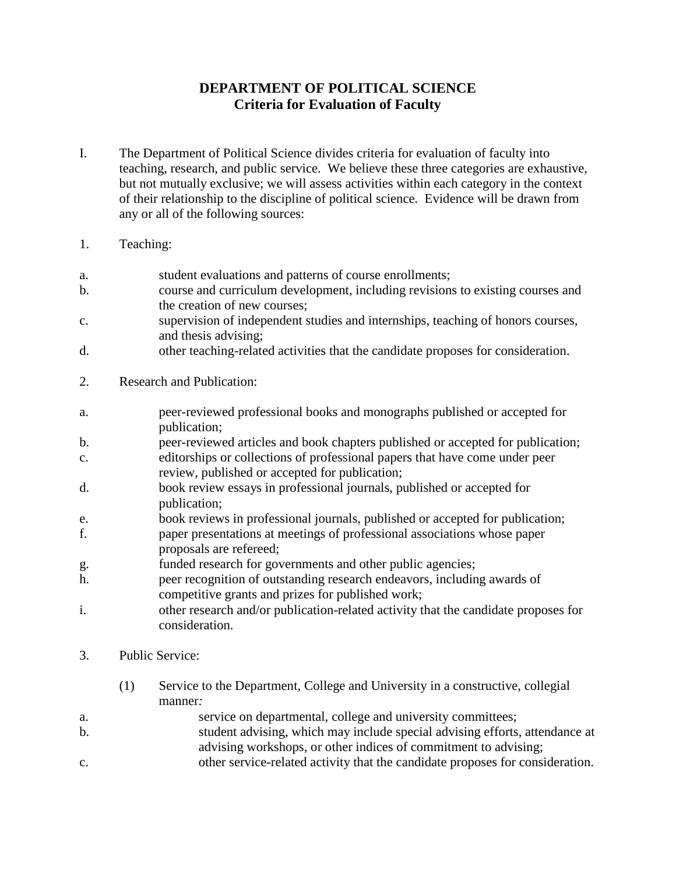# **DEPARTMENT OF POLITICAL SCIENCE Criteria for Evaluation of Faculty**

- I. The Department of Political Science divides criteria for evaluation of faculty into teaching, research, and public service. We believe these three categories are exhaustive, but not mutually exclusive; we will assess activities within each category in the context of their relationship to the discipline of political science. Evidence will be drawn from any or all of the following sources:
- 1. Teaching:
- a. student evaluations and patterns of course enrollments;
- b. course and curriculum development, including revisions to existing courses and the creation of new courses;
- c. supervision of independent studies and internships, teaching of honors courses, and thesis advising;
- d. other teaching-related activities that the candidate proposes for consideration.
- 2. Research and Publication:
- a. peer-reviewed professional books and monographs published or accepted for publication;
- b. peer-reviewed articles and book chapters published or accepted for publication;
- c. editorships or collections of professional papers that have come under peer review, published or accepted for publication;
- d. book review essays in professional journals, published or accepted for publication;
- e. book reviews in professional journals, published or accepted for publication; f. paper presentations at meetings of professional associations whose paper proposals are refereed;
- g. funded research for governments and other public agencies;
- h. peer recognition of outstanding research endeavors, including awards of competitive grants and prizes for published work;
- i. other research and/or publication-related activity that the candidate proposes for consideration.
- 3. Public Service:
	- (1) Service to the Department, College and University in a constructive, collegial manner*:*
- a. service on departmental, college and university committees;
- b. student advising, which may include special advising efforts, attendance at advising workshops, or other indices of commitment to advising;
- c. other service-related activity that the candidate proposes for consideration.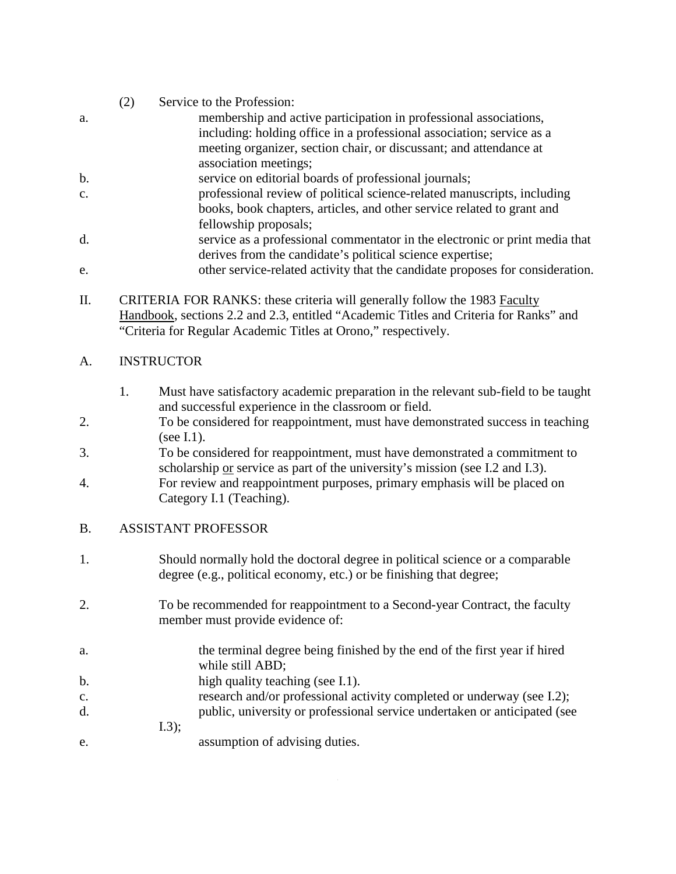- (2) Service to the Profession: a. membership and active participation in professional associations, including: holding office in a professional association; service as a meeting organizer, section chair, or discussant; and attendance at association meetings; b. service on editorial boards of professional journals; c. professional review of political science-related manuscripts, including books, book chapters, articles, and other service related to grant and fellowship proposals; d. service as a professional commentator in the electronic or print media that derives from the candidate's political science expertise;
- e. other service-related activity that the candidate proposes for consideration.
- II. CRITERIA FOR RANKS: these criteria will generally follow the 1983 Faculty Handbook, sections 2.2 and 2.3, entitled "Academic Titles and Criteria for Ranks" and "Criteria for Regular Academic Titles at Orono," respectively.

## A. INSTRUCTOR

- 1. Must have satisfactory academic preparation in the relevant sub-field to be taught and successful experience in the classroom or field.
- 2. To be considered for reappointment, must have demonstrated success in teaching (see I.1).
- 3. To be considered for reappointment, must have demonstrated a commitment to scholarship or service as part of the university's mission (see I.2 and I.3).
- 4. For review and reappointment purposes, primary emphasis will be placed on Category I.1 (Teaching).

### B. ASSISTANT PROFESSOR

- 1. Should normally hold the doctoral degree in political science or a comparable degree (e.g., political economy, etc.) or be finishing that degree;
- 2. To be recommended for reappointment to a Second-year Contract, the faculty member must provide evidence of:
- a. the terminal degree being finished by the end of the first year if hired while still ABD;
- b. high quality teaching (see I.1).
- c. research and/or professional activity completed or underway (see I.2);
- d. public, university or professional service undertaken or anticipated (see I.3);
- e. assumption of advising duties.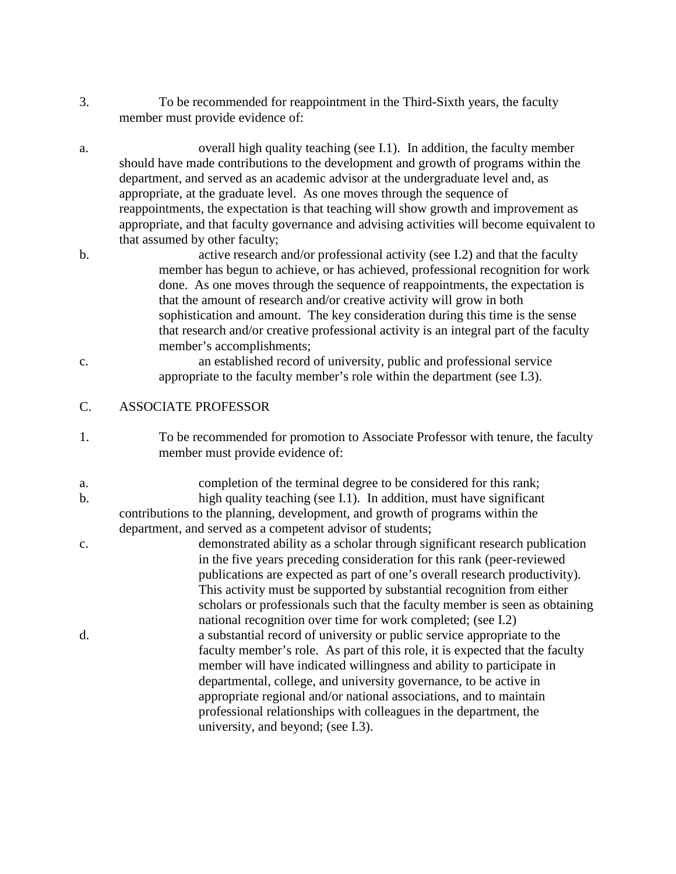- 3. To be recommended for reappointment in the Third-Sixth years, the faculty member must provide evidence of:
- a. overall high quality teaching (see I.1). In addition, the faculty member should have made contributions to the development and growth of programs within the department, and served as an academic advisor at the undergraduate level and, as appropriate, at the graduate level. As one moves through the sequence of reappointments, the expectation is that teaching will show growth and improvement as appropriate, and that faculty governance and advising activities will become equivalent to that assumed by other faculty;
- b. active research and/or professional activity (see I.2) and that the faculty member has begun to achieve, or has achieved, professional recognition for work done. As one moves through the sequence of reappointments, the expectation is that the amount of research and/or creative activity will grow in both sophistication and amount. The key consideration during this time is the sense that research and/or creative professional activity is an integral part of the faculty member's accomplishments;
- c. an established record of university, public and professional service appropriate to the faculty member's role within the department (see I.3).

### C. ASSOCIATE PROFESSOR

- 1. To be recommended for promotion to Associate Professor with tenure, the faculty member must provide evidence of:
- a. completion of the terminal degree to be considered for this rank; b. high quality teaching (see I.1). In addition, must have significant contributions to the planning, development, and growth of programs within the department, and served as a competent advisor of students;
- c. demonstrated ability as a scholar through significant research publication in the five years preceding consideration for this rank (peer-reviewed publications are expected as part of one's overall research productivity). This activity must be supported by substantial recognition from either scholars or professionals such that the faculty member is seen as obtaining national recognition over time for work completed; (see I.2) d. a substantial record of university or public service appropriate to the faculty member's role. As part of this role, it is expected that the faculty member will have indicated willingness and ability to participate in departmental, college, and university governance, to be active in appropriate regional and/or national associations, and to maintain professional relationships with colleagues in the department, the university, and beyond; (see I.3).